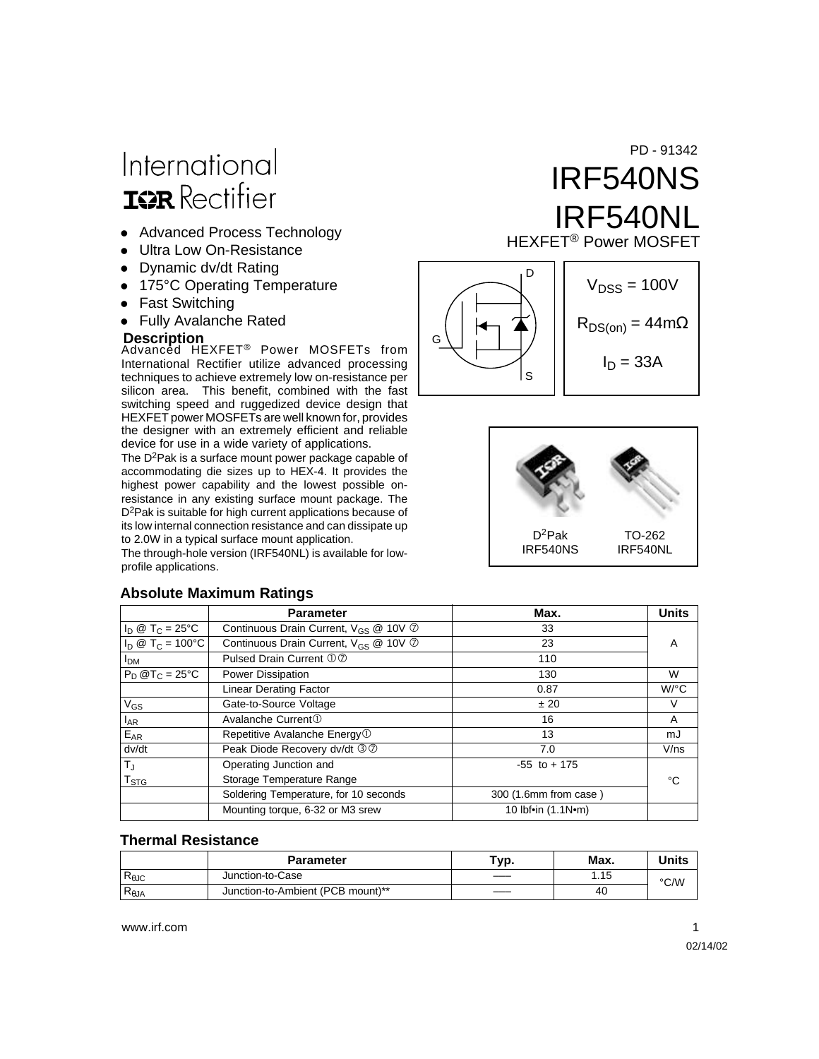# International **ISR** Rectifier

- Advanced Process Technology
- **Ultra Low On-Resistance**
- Dynamic dv/dt Rating
- 175°C Operating Temperature
- Fast Switching
- Fully Avalanche Rated

Advanced HEXFET® Power MOSFETs from **Description** International Rectifier utilize advanced processing techniques to achieve extremely low on-resistance per silicon area. This benefit, combined with the fast switching speed and ruggedized device design that HEXFET power MOSFETs are well known for, provides the designer with an extremely efficient and reliable device for use in a wide variety of applications.

The D2Pak is a surface mount power package capable of accommodating die sizes up to HEX-4. It provides the highest power capability and the lowest possible onresistance in any existing surface mount package. The D<sup>2</sup>Pak is suitable for high current applications because of its low internal connection resistance and can dissipate up to 2.0W in a typical surface mount application.

The through-hole version (IRF540NL) is available for lowprofile applications.

### IRF540NS IRF540NL HEXFET® Power MOSFET PD - 91342





#### **Absolute Maximum Ratings Parameter** Max. Max. Units  $I_D @ T_C = 25°C$  Continuous Drain Current,  $V_{GS} @ 10V$   $\odot$ **D** 33  $I_D \ @ \ T_C = 100^{\circ}C$  Continuous Drain Current,  $V_{GS} \ @ \ 10V \ @ \ T_D$ I<sub>DM</sub> Pulsed Drain Current  $\overline{O \oslash O}$

| $I_D @ T_C = 100°C$         | Continuous Drain Current, V <sub>GS</sub> @ 10V 7 | 23                    | Α                    |
|-----------------------------|---------------------------------------------------|-----------------------|----------------------|
| <b>I<sub>DM</sub></b>       | Pulsed Drain Current 00                           | 110                   |                      |
| $P_D @T_C = 25°C$           | Power Dissipation                                 | 130                   | W                    |
|                             | <b>Linear Derating Factor</b>                     | 0.87                  | $W$ <sup>o</sup> $C$ |
| $V_{GS}$                    | Gate-to-Source Voltage                            | ± 20                  | V                    |
| $I_{AR}$                    | Avalanche Current <sup>①</sup>                    | 16                    | A                    |
| $E_{AR}$                    | Repetitive Avalanche Energy <sup>1</sup>          | 13                    | mJ                   |
| dv/dt                       | Peak Diode Recovery dv/dt 30                      | 7.0                   | V/ns                 |
| $T_{\rm J}$                 | Operating Junction and                            | $-55$ to $+175$       |                      |
| $\mathsf{T}_{\textsf{STG}}$ | Storage Temperature Range                         |                       | °C                   |
|                             | Soldering Temperature, for 10 seconds             | 300 (1.6mm from case) |                      |
|                             | Mounting torque, 6-32 or M3 srew                  | 10 lbf•in (1.1N•m)    |                      |

#### **Thermal Resistance**

|                | <b>Parameter</b>                  | `yp. | Max. | Units |
|----------------|-----------------------------------|------|------|-------|
| $R_{\theta$ JC | Junction-to-Case                  |      | .15  | °C/W  |
| $R_{\theta$ JA | Junction-to-Ambient (PCB mount)** | ____ | 40   |       |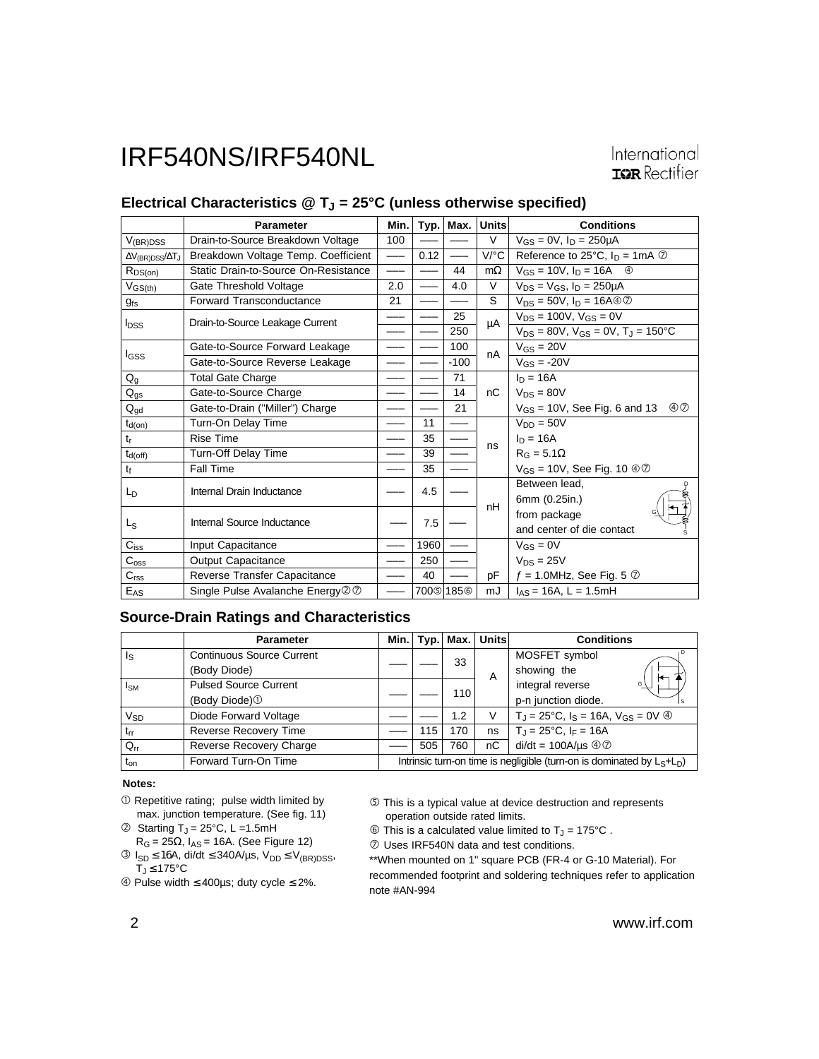#### Electrical Characteristics @ T<sub>J</sub> = 25°C (unless otherwise specified)

|                                 | <b>Parameter</b>                     | Min. | Typ. | Max.                             | Units     | <b>Conditions</b>                                     |
|---------------------------------|--------------------------------------|------|------|----------------------------------|-----------|-------------------------------------------------------|
| $V_{(BR)DSS}$                   | Drain-to-Source Breakdown Voltage    | 100  |      |                                  | $\vee$    | $V_{GS} = 0V$ , $I_D = 250 \mu A$                     |
| $\Delta V_{(BR)DSS}/\Delta T_J$ | Breakdown Voltage Temp. Coefficient  | ——   | 0.12 | $\hspace{0.05cm}$                | V/°C      | Reference to 25°C, $I_D = 1mA$ $\oslash$              |
| $R_{DS(on)}$                    | Static Drain-to-Source On-Resistance |      |      | 44                               | $m\Omega$ | $V_{GS} = 10V$ , $I_D = 16A$ 4                        |
| $V_{GS(th)}$                    | Gate Threshold Voltage               | 2.0  |      | 4.0                              | $\vee$    | $V_{DS} = V_{GS}$ , $I_D = 250 \mu A$                 |
| $g_{fs}$                        | Forward Transconductance             | 21   |      |                                  | S         | $V_{DS}$ = 50V, $I_D$ = 16A $\oplus$ $\oslash$        |
| <b>I</b> <sub>DSS</sub>         | Drain-to-Source Leakage Current      |      |      | 25                               | μA        | $V_{DS}$ = 100V, $V_{GS}$ = 0V                        |
|                                 |                                      |      |      | 250                              |           | $V_{DS} = 80V$ , $V_{GS} = 0V$ , $T_J = 150^{\circ}C$ |
|                                 | Gate-to-Source Forward Leakage       |      |      | 100                              | nA        | $V_{GS} = 20V$                                        |
| I <sub>GSS</sub>                | Gate-to-Source Reverse Leakage       |      |      | $-100$                           |           | $V_{GS} = -20V$                                       |
| $Q_{q}$                         | <b>Total Gate Charge</b>             |      |      | 71                               |           | $I_n = 16A$                                           |
| $Q_{gs}$                        | Gate-to-Source Charge                |      |      | 14                               | nC        | $V_{DS} = 80V$                                        |
| $Q_{gd}$                        | Gate-to-Drain ("Miller") Charge      |      |      | 21                               |           | $\circledcirc$<br>$V_{GS}$ = 10V, See Fig. 6 and 13   |
| $t_{d(on)}$                     | Turn-On Delay Time                   |      | 11   |                                  |           | $V_{DD} = 50V$                                        |
| t,                              | <b>Rise Time</b>                     |      | 35   |                                  | ns        | $I_D = 16A$                                           |
| $t_{d(off)}$                    | Turn-Off Delay Time                  |      | 39   |                                  |           | $R_G = 5.1\Omega$                                     |
| tf                              | Fall Time                            |      | 35   | ---                              |           | $V_{GS}$ = 10V, See Fig. 10 $\textcircled{3}$         |
| L <sub>D</sub>                  | Internal Drain Inductance            |      | 4.5  |                                  | nH        | Between lead.                                         |
|                                 |                                      |      |      |                                  |           | 6mm (0.25in.)                                         |
| L <sub>S</sub>                  | Internal Source Inductance           |      | 7.5  |                                  |           | from package                                          |
|                                 |                                      |      |      |                                  |           | and center of die contact                             |
| $C_{iss}$                       | Input Capacitance                    |      | 1960 |                                  |           | $V_{GS} = 0V$                                         |
| $C_{\rm oss}$                   | <b>Output Capacitance</b>            |      | 250  |                                  |           | $V_{DS} = 25V$                                        |
| C <sub>rss</sub>                | Reverse Transfer Capacitance         |      | 40   |                                  | pF        | $f = 1.0$ MHz, See Fig. 5 $\oslash$                   |
| $\mathsf{E}_{\mathsf{AS}}$      | Single Pulse Avalanche Energy 20     |      |      | 700 <sup><math>185@</math></sup> | mJ        | $I_{AS}$ = 16A, L = 1.5mH                             |

#### **Source-Drain Ratings and Characteristics**

|                 | <b>Parameter</b>                 | Min. l                                                                    |     | $Typ.$ Max. | <b>Units</b>          | <b>Conditions</b>                                                   |
|-----------------|----------------------------------|---------------------------------------------------------------------------|-----|-------------|-----------------------|---------------------------------------------------------------------|
| ls              | <b>Continuous Source Current</b> |                                                                           |     | 33          |                       | MOSFET symbol                                                       |
|                 | (Body Diode)                     |                                                                           |     |             | A                     | showing the<br>⇤                                                    |
| I <sub>SM</sub> | <b>Pulsed Source Current</b>     |                                                                           |     | 110         | integral reverse<br>G |                                                                     |
|                 | (Body Diode) <sup>1</sup>        |                                                                           |     |             |                       | p-n junction diode.                                                 |
| V <sub>SD</sub> | Diode Forward Voltage            |                                                                           |     | 1.2         | V                     | $T_{d} = 25^{\circ}C$ , $I_{S} = 16A$ , $V_{GS} = 0V$ $\circled{0}$ |
| $t_{rr}$        | <b>Reverse Recovery Time</b>     |                                                                           | 115 | 170         | ns                    | $T_{\rm J}$ = 25°C, I <sub>F</sub> = 16A                            |
| $Q_{rr}$        | Reverse Recovery Charge          |                                                                           | 505 | 760         | пC                    | $di/dt = 100A/\mu s \text{ @ } \textcircled{2}$                     |
| $t_{on}$        | Forward Turn-On Time             | Intrinsic turn-on time is negligible (turn-on is dominated by $L_S+L_D$ ) |     |             |                       |                                                                     |

#### **Notes:**

- Repetitive rating; pulse width limited by max. junction temperature. (See fig. 11)
- $\circledR$  Starting T<sub>J</sub> = 25 $\circ$ C, L = 1.5mH  $R_G = 25Ω$ ,  $I_{AS} = 16A$ . (See Figure 12)
- $\textcircled{3}$  I<sub>SD</sub> ≤ 16A, di/dt ≤ 340A/µs, V<sub>DD</sub> ≤ V<sub>(BR)DSS</sub>,  $T_J \leq 175^{\circ}C$
- Pulse width ≤ 400µs; duty cycle ≤ 2%.

 This is a typical value at device destruction and represents operation outside rated limits.

 $\circledR$  This is a calculated value limited to T<sub>J</sub> = 175°C.

- Uses IRF540N data and test conditions.

\*\*When mounted on 1" square PCB (FR-4 or G-10 Material). For recommended footprint and soldering techniques refer to application note #AN-994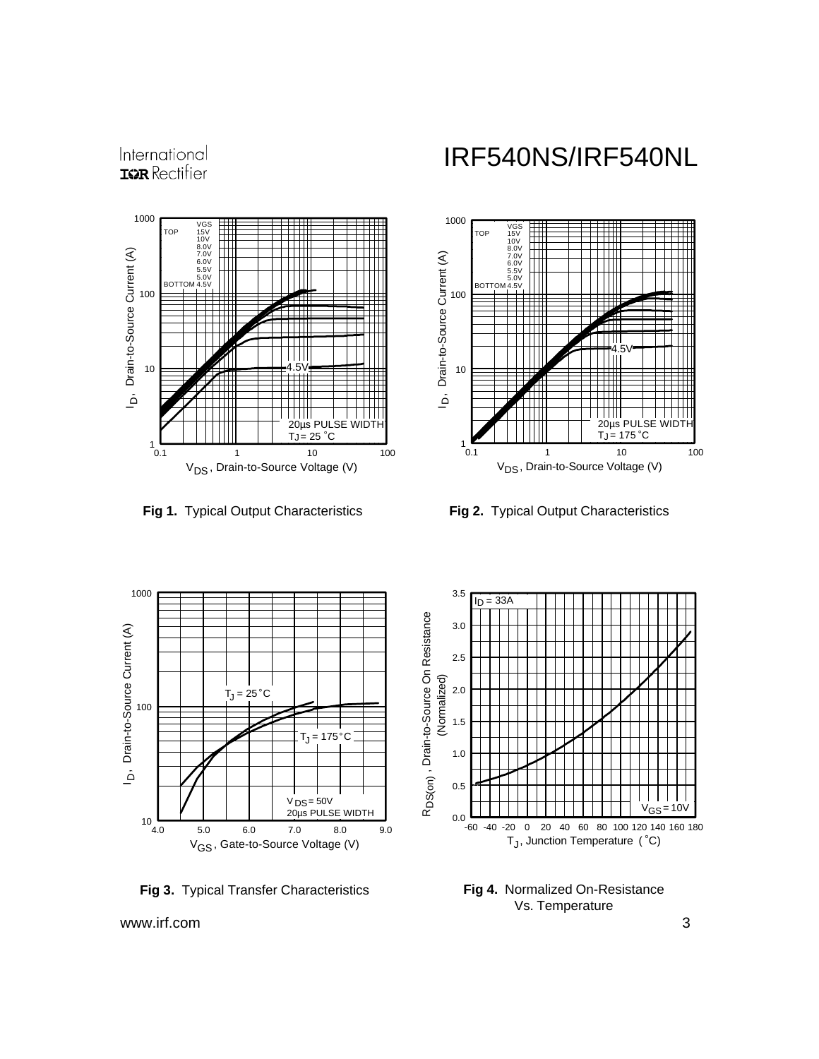International **IGR** Rectifier



**Fig 1.** Typical Output Characteristics **Fig 2.** Typical Output Characteristics

## IRF540NS/IRF540NL





**Fig 3.** Typical Transfer Characteristics



**Fig 4.** Normalized On-Resistance Vs. Temperature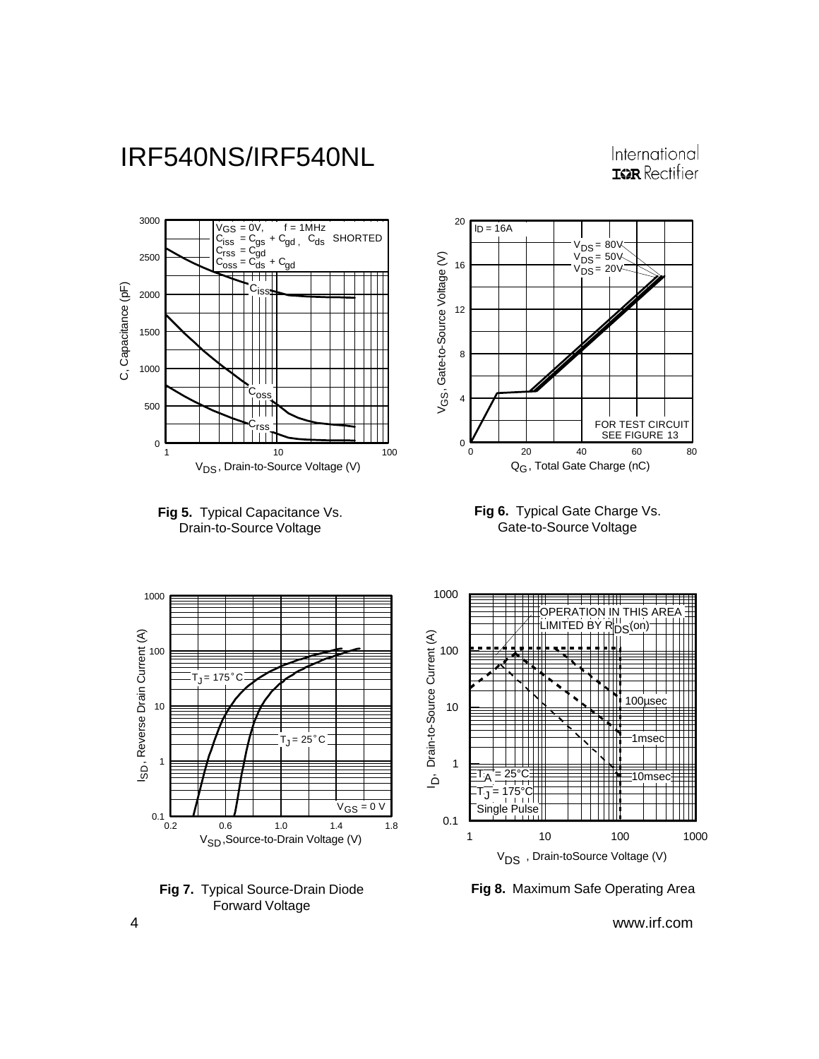#### International **IGR** Rectifier



**Fig 7.** Typical Source-Drain Diode Forward Voltage

#### **Fig 8.** Maximum Safe Operating Area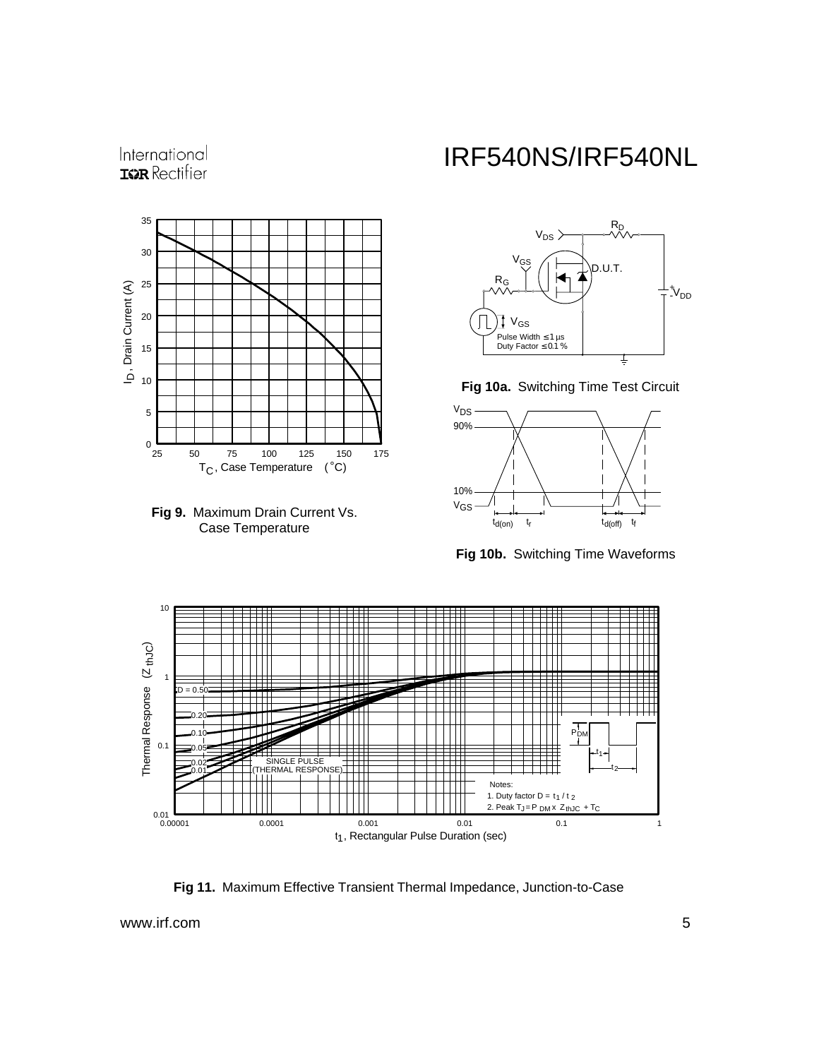

International



# IRF540NS/IRF540NL



**Fig 10a.** Switching Time Test Circuit



**Fig 10b.** Switching Time Waveforms



**Fig 11.** Maximum Effective Transient Thermal Impedance, Junction-to-Case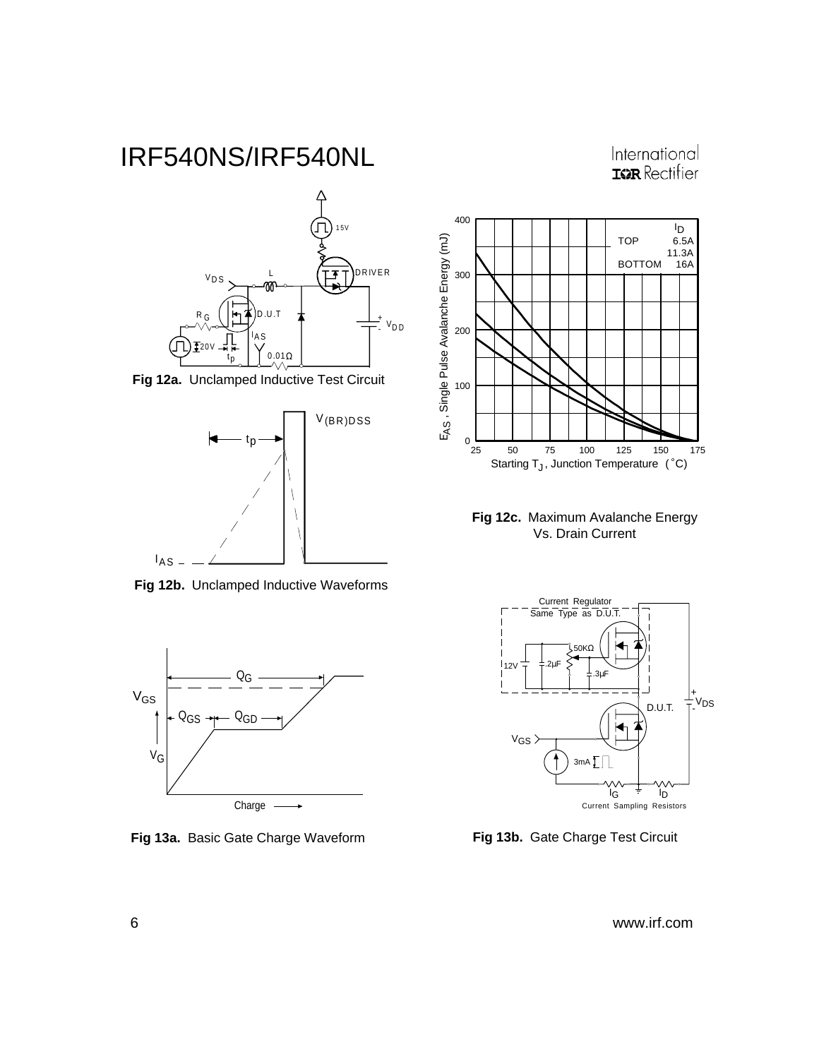International **ISPR** Rectifier







**Fig 12b.** Unclamped Inductive Waveforms



**Fig 13a.** Basic Gate Charge Waveform **Fig 13b.** Gate Charge Test Circuit



**Fig 12c.** Maximum Avalanche Energy Vs. Drain Current

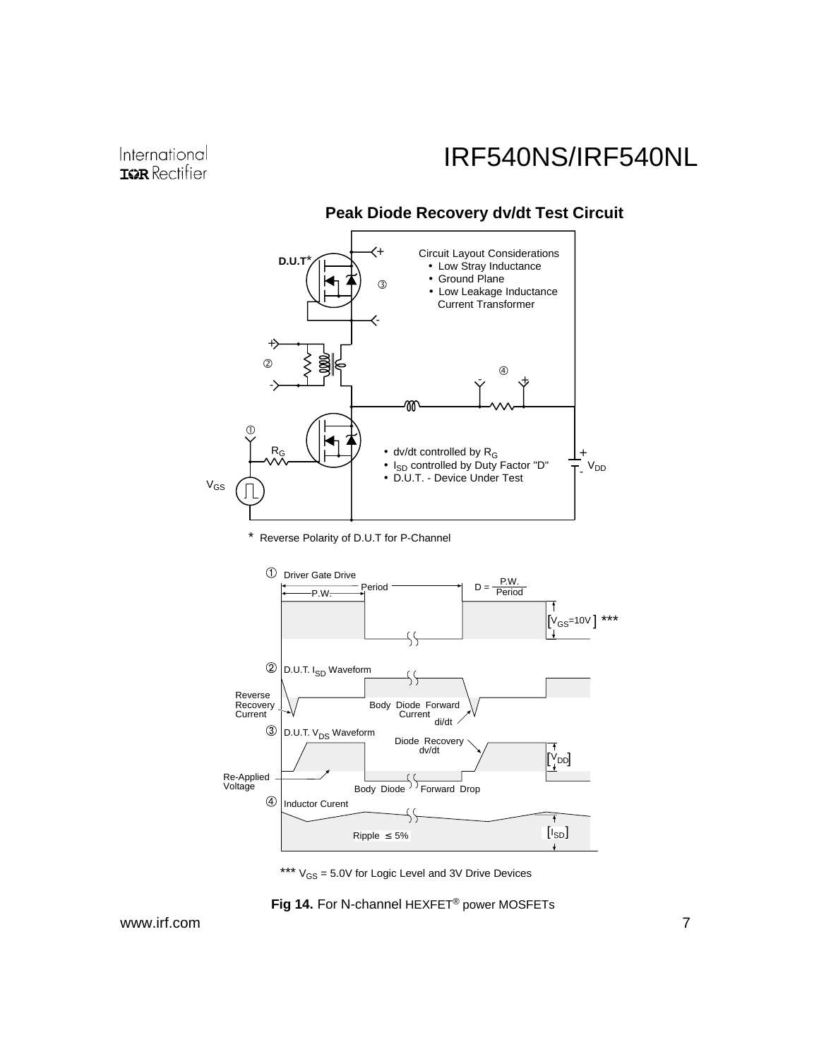#### **D.U.T<sup>\*</sup>** Circuit Layout Considerations + • Low Stray Inductance • Ground Plane বি • Low Leakage Inductance Current Transformer :<br>- $^{+}$  $\circ$   $\circ$   $\circ$   $\circ$   $\circ$   $\circ$  $\sim$  +  $\sim$ - M  $\odot$  $R_G$  $\bullet\,$  dv/dt controlled by  ${\sf R_G}$ + V<sub>DD</sub> • I<sub>SD</sub> controlled by Duty Factor "D" - • D.U.T. - Device Under Test  $V_{GS}$

### **Peak Diode Recovery dv/dt Test Circuit**

\* Reverse Polarity of D.U.T for P-Channel



\*\*\*  $V_{GS} = 5.0V$  for Logic Level and 3V Drive Devices

**Fig 14.** For N-channel HEXFET® power MOSFETs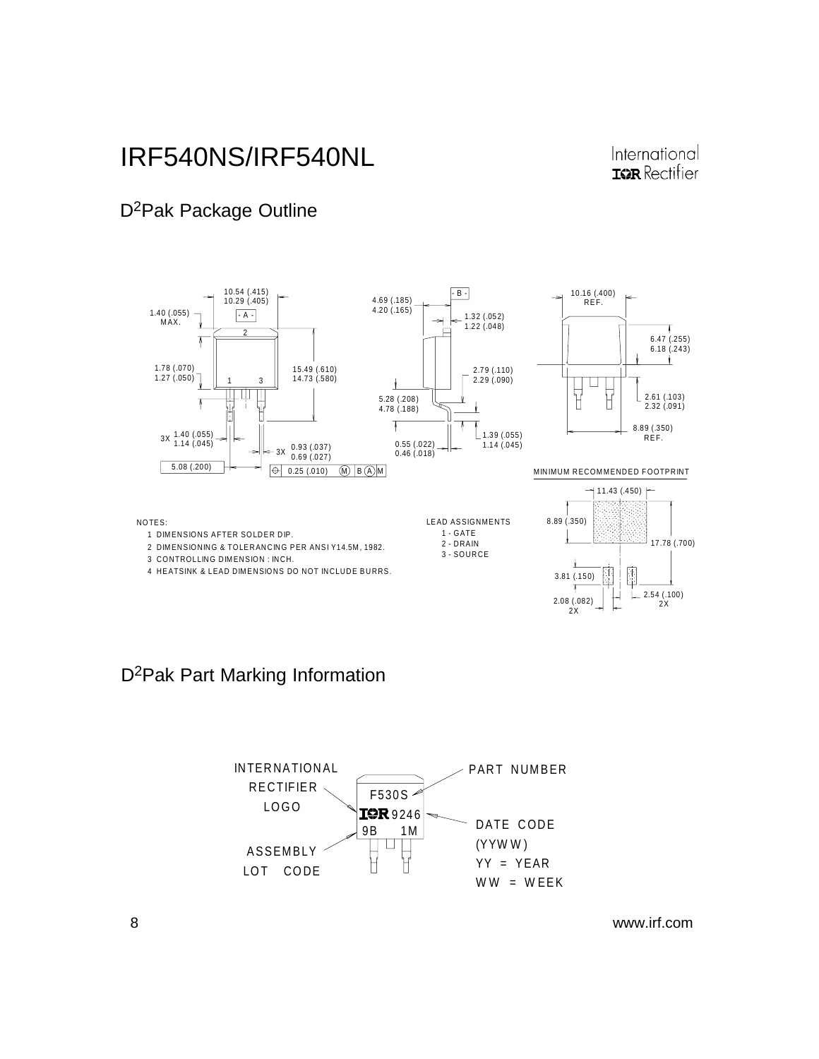#### International **IGR** Rectifier

### D2Pak Package Outline



### D2Pak Part Marking Information

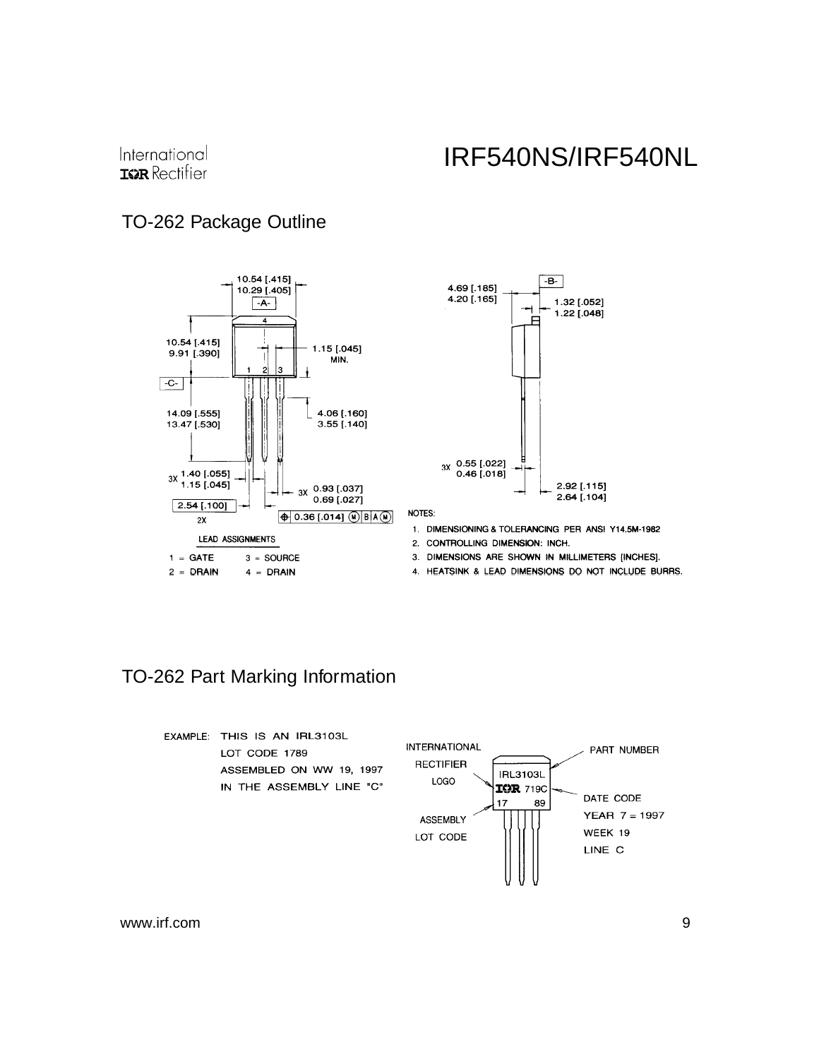### TO-262 Package Outline





NOTES:

- 1. DIMENSIONING & TOLERANCING PER ANSI Y14.5M-1982
- 2. CONTROLLING DIMENSION: INCH.
- 3. DIMENSIONS ARE SHOWN IN MILLIMETERS [INCHES].
- 4. HEATSINK & LEAD DIMENSIONS DO NOT INCLUDE BURRS.

### TO-262 Part Marking Information